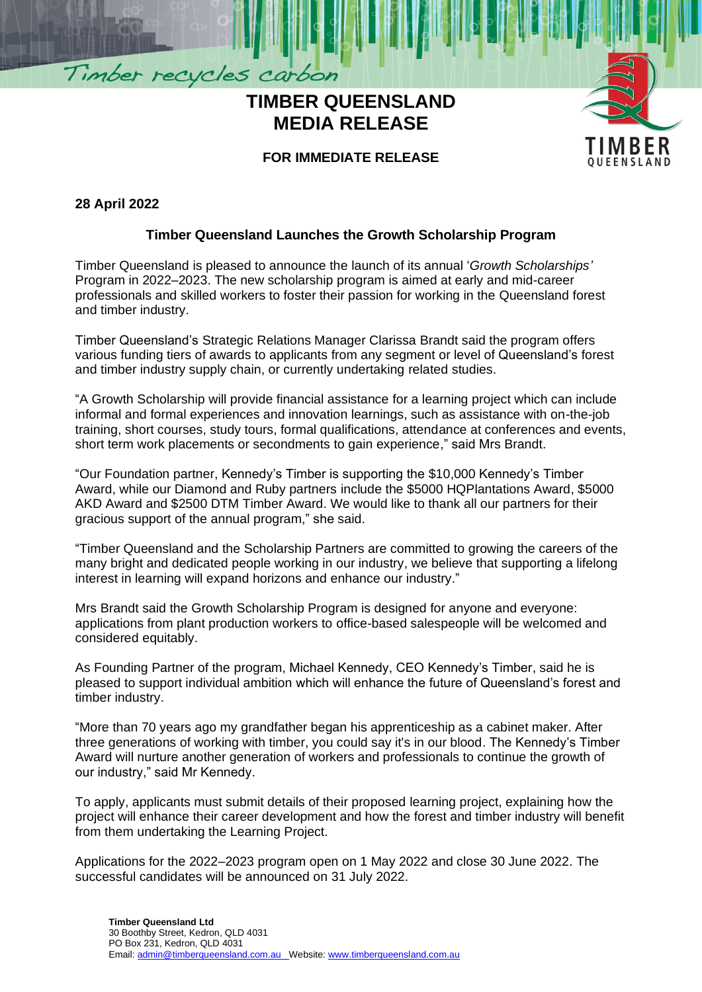# **TIMBER QUEENSLAND MEDIA RELEASE**



## **FOR IMMEDIATE RELEASE**

#### **28 April 2022**

Timber recycles carbon

### **Timber Queensland Launches the Growth Scholarship Program**

Timber Queensland is pleased to announce the launch of its annual '*Growth Scholarships'* Program in 2022–2023. The new scholarship program is aimed at early and mid-career professionals and skilled workers to foster their passion for working in the Queensland forest and timber industry.

Timber Queensland's Strategic Relations Manager Clarissa Brandt said the program offers various funding tiers of awards to applicants from any segment or level of Queensland's forest and timber industry supply chain, or currently undertaking related studies.

"A Growth Scholarship will provide financial assistance for a learning project which can include informal and formal experiences and innovation learnings, such as assistance with on-the-job training, short courses, study tours, formal qualifications, attendance at conferences and events, short term work placements or secondments to gain experience," said Mrs Brandt.

"Our Foundation partner, Kennedy's Timber is supporting the \$10,000 Kennedy's Timber Award, while our Diamond and Ruby partners include the \$5000 HQPlantations Award, \$5000 AKD Award and \$2500 DTM Timber Award. We would like to thank all our partners for their gracious support of the annual program," she said.

"Timber Queensland and the Scholarship Partners are committed to growing the careers of the many bright and dedicated people working in our industry, we believe that supporting a lifelong interest in learning will expand horizons and enhance our industry."

Mrs Brandt said the Growth Scholarship Program is designed for anyone and everyone: applications from plant production workers to office-based salespeople will be welcomed and considered equitably.

As Founding Partner of the program, Michael Kennedy, CEO Kennedy's Timber, said he is pleased to support individual ambition which will enhance the future of Queensland's forest and timber industry.

"More than 70 years ago my grandfather began his apprenticeship as a cabinet maker. After three generations of working with timber, you could say it's in our blood. The Kennedy's Timber Award will nurture another generation of workers and professionals to continue the growth of our industry," said Mr Kennedy.

To apply, applicants must submit details of their proposed learning project, explaining how the project will enhance their career development and how the forest and timber industry will benefit from them undertaking the Learning Project.

Applications for the 2022–2023 program open on 1 May 2022 and close 30 June 2022. The successful candidates will be announced on 31 July 2022.